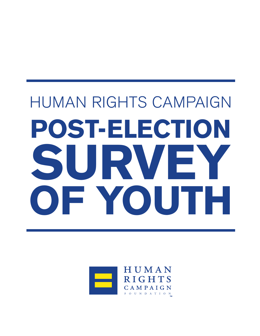# HUMAN RIGHTS CAMPAIGN **POST-ELECTION SURVEY OF YOUTH**

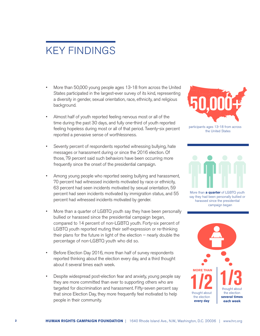# KEY FINDINGS

- More than 50,000 young people ages 13-18 from across the United States participated in the largest-ever survey of its kind, representing a diversity in gender, sexual orientation, race, ethnicity, and religious background.
- Almost half of youth reported feeling nervous most or all of the time during the past 30 days, and fully one-third of youth reported feeling hopeless during most or all of that period. Twenty-six percent reported a pervasive sense of worthlessness.
- Seventy percent of respondents reported witnessing bullying, hate messages or harassment during or since the 2016 election. Of those, 79 percent said such behaviors have been occurring more frequently since the onset of the presidential campaign.
- Among young people who reported seeing bullying and harassment, 70 percent had witnessed incidents motivated by race or ethnicity, 63 percent had seen incidents motivated by sexual orientation, 59 percent had seen incidents motivated by immigration status, and 55 percent had witnessed incidents motivated by gender.
- More than a quarter of LGBTQ youth say they have been personally bullied or harassed since the presidential campaign began, compared to 14 percent of non-LGBTQ youth. Forty-six percent of LGBTQ youth reported muting their self-expression or re-thinking their plans for the future in light of the election – nearly double the percentage of non-LGBTQ youth who did so.
- Before Election Day 2016, more than half of survey respondents reported thinking about the election every day, and a third thought about it several times each week.
- Despite widespread post-election fear and anxiety, young people say they are more committed than ever to supporting others who are targeted for discrimination and harassment. Fifty-seven percent say that since Election Day, they more frequently feel motivated to help people in their community.



participants ages 13-18 from across the United States



More than **a quarter** of LGBTQ youth say they had been personally bullied or harassed since the presidential campaign began

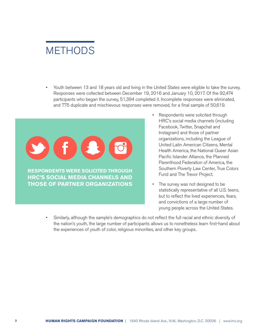# **METHODS**

• Youth between 13 and 18 years old and living in the United States were eligible to take the survey. Responses were collected between December 19, 2016 and January 10, 2017. Of the 92,474 participants who began the survey, 51,394 completed it. Incomplete responses were eliminated, and 775 duplicate and mischievous responses were removed, for a final sample of 50,619.



- Respondents were solicited through HRC's social media channels (including Facebook, Twitter, Snapchat and Instagram) and those of partner organizations, including the League of United Latin American Citizens, Mental Health America, the National Queer Asian Pacific Islander Alliance, the Planned Parenthood Federation of America, the Southern Poverty Law Center, True Colors Fund and The Trevor Project.
- The survey was not designed to be statistically representative of all U.S. teens, but to reflect the lived experiences, fears, and convictions of a large number of young people across the United States.
- Similarly, although the sample's demographics do not reflect the full racial and ethnic diversity of the nation's youth, the large number of participants allows us to nonetheless learn first-hand about the experiences of youth of color, religious minorities, and other key groups.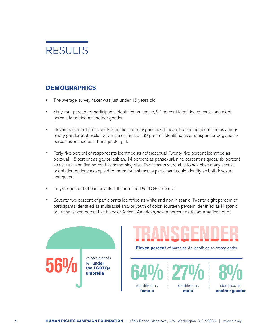

# **DEMOGRAPHICS**

- The average survey-taker was just under 16 years old.
- Sixty-four percent of participants identified as female, 27 percent identified as male, and eight percent identified as another gender.
- Eleven percent of participants identified as transgender. Of those, 55 percent identified as a nonbinary gender (not exclusively male or female), 39 percent identified as a transgender boy, and six percent identified as a transgender girl.
- Forty-five percent of respondents identified as heterosexual. Twenty-five percent identified as bisexual, 16 percent as gay or lesbian, 14 percent as pansexual, nine percent as queer, six percent as asexual, and five percent as something else. Participants were able to select as many sexual orientation options as applied to them; for instance, a participant could identify as both bisexual and queer.
- Fifty-six percent of participants fell under the LGBTQ+ umbrella.
- Seventy-two percent of participants identified as white and non-hispanic. Twenty-eight percent of participants identified as multiracial and/or youth of color: fourteen percent identified as Hispanic or Latino, seven percent as black or African American, seven percent as Asian American or of



**Eleven percent** of participants identified as transgender.

**64%** identified as **female**

**27% 8%** identified as **male**

identified as **another gender**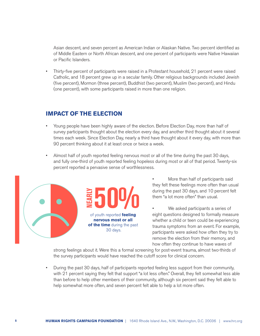Asian descent, and seven percent as American Indian or Alaskan Native. Two percent identified as of Middle Eastern or North African descent, and one percent of participants were Native Hawaiian or Pacific Islanders.

• Thirty-five percent of participants were raised in a Protestant household, 21 percent were raised Catholic, and 18 percent grew up in a secular family. Other religious backgrounds included Jewish (five percent), Mormon (three percent), Buddhist (two percent), Muslim (two percent), and Hindu (one percent), with some participants raised in more than one religion.

## **IMPACT OF THE ELECTION**

- Young people have been highly aware of the election. Before Election Day, more than half of survey participants thought about the election every day, and another third thought about it several times each week. Since Election Day, nearly a third have thought about it every day, with more than 90 percent thinking about it at least once or twice a week.
- Almost half of youth reported feeling nervous most or all of the time during the past 30 days, and fully one-third of youth reported feeling hopeless during most or all of that period. Twenty-six percent reported a pervasive sense of worthlessness.



- More than half of participants said they felt these feelings more often than usual during the past 30 days, and 10 percent felt them "a lot more often" than usual.
- We asked participants a series of eight questions designed to formally measure whether a child or teen could be experiencing trauma symptoms from an event. For example, participants were asked how often they try to remove the election from their memory, and how often they continue to have waves of

strong feelings about it. Were this a formal screening for post-event trauma, almost two-thirds of the survey participants would have reached the cutoff score for clinical concern.

• During the past 30 days, half of participants reported feeling less support from their community, with 21 percent saying they felt that support "a lot less often." Overall, they felt somewhat less able than before to help other members of their community, although six percent said they felt able to help somewhat more often, and seven percent felt able to help a lot more often.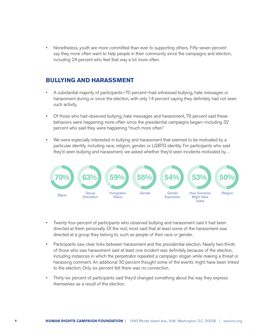• Nonetheless, youth are more committed than ever to supporting others. Fifty-seven percent say they more often want to help people in their community since the campaigns and election, including 24 percent who feel that way a lot more often.

## **BULLYING AND HARASSMENT**

- A substantial majority of participants—70 percent—had witnessed bullying, hate messages or harassment during or since the election, with only 14 percent saying they definitely had not seen such activity.
- Of those who had observed bullying, hate messages and harassment, 79 percent said these behaviors were happening more often since the presidential campaigns began—including 32 percent who said they were happening "much more often."
- We were especially interested in bullying and harassment that seemed to be motivated by a particular identity, including race, religion, gender, or LGBTQ identity. For participants who said they'd seen bullying and harassment, we asked whether they'd seen incidents motivated by…



- Twenty-four percent of participants who observed bullying and harassment said it had been directed at them personally. Of the rest, most said that at least some of the harassment was directed at a group they belong to, such as people of their race or gender.
- Participants saw clear links between harassment and the presidential election. Nearly two-thirds of those who saw harassment said at least one incident was definitely because of the election, including instances in which the perpetrator repeated a campaign slogan while making a threat or harassing comment. An additional 30 percent thought some of the events might have been linked to the election. Only six percent felt there was no connection.
- Thirty-six percent of participants said they'd changed something about the way they express themselves as a result of the election.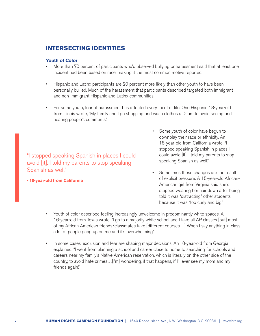# **INTERSECTING IDENTITIES**

#### **Youth of Color**

- More than 70 percent of participants who'd observed bullying or harassment said that at least one incident had been based on race, making it the most common motive reported.
- Hispanic and Latinx participants are 20 percent more likely than other youth to have been personally bullied. Much of the harassment that participants described targeted both immigrant and non-immigrant Hispanic and Latinx communities.
- For some youth, fear of harassment has affected every facet of life. One Hispanic 18-year-old from Illinois wrote, "My family and I go shopping and wash clothes at 2 am to avoid seeing and hearing people's comments."

"I stopped speaking Spanish in places I could avoid [it]. I told my parents to stop speaking Spanish as well."

**- 18-year-old from California**

- Some youth of color have begun to downplay their race or ethnicity. An 18-year-old from California wrote, "I stopped speaking Spanish in places I could avoid [it]. I told my parents to stop speaking Spanish as well."
- Sometimes these changes are the result of explicit pressure. A 15-year-old African-American girl from Virginia said she'd stopped wearing her hair down after being told it was "distracting" other students because it was "too curly and big."
- Youth of color described feeling increasingly unwelcome in predominantly white spaces. A 16-year-old from Texas wrote, "I go to a majority white school and I take all AP classes [but] most of my African American friends/classmates take [different courses…] When I say anything in class a lot of people gang up on me and it's overwhelming."
- In some cases, exclusion and fear are shaping major decisions. An 18-year-old from Georgia explained, "I went from planning a school and career close to home to searching for schools and careers near my family's Native American reservation, which is literally on the other side of the country, to avoid hate crimes…[I'm] wondering, if that happens, if I'll ever see my mom and my friends again."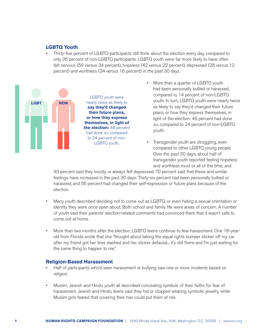#### **LGBTQ Youth**

• Thirty-five percent of LGBTQ participants still think about the election every day, compared to only 26 percent of non-LGBTQ participants. LGBTQ youth were far more likely to have often felt nervous (59 versus 34 percent), hopeless (42 versus 22 percent), depressed (28 versus 12 percent) and worthless (34 versus 16 percent) in the past 30 days.



- More than a quarter of LGBTQ youth had been personally bullied or harassed, compared to 14 percent of non-LGBTQ youth. In turn, LGBTQ youth were nearly twice as likely to say they'd changed their future plans, or how they express themselves, in light of the election: 46 percent had done so, compared to 24 percent of non-LGBTQ youth.
- Transgender youth are struggling, even compared to other LGBTQ young people. Over the past 30 days, about half of transgender youth reported feeling hopeless and worthless most or all of the time, and

40 percent said they mostly or always felt depressed. 70 percent said that these and similar feelings have increased in the past 30 days. Thirty-six percent had been personally bullied or harassed, and 56 percent had changed their self-expression or future plans because of the election.

- Many youth described deciding not to come out as LGBTQ, or even hiding a sexual orientation or identity they were once open about. Both school and family life were areas of concern. A number of youth said their parents' election-related comments had convinced them that it wasn't safe to come out at home.
- More than two months after the election, LGBTQ teens continue to fear harassment. One 18-yearold from Florida wrote that she "thought about taking the equal rights bumper sticker off my car after my friend got her tires slashed and her sticker defaced... it's still there and I'm just waiting for the same thing to happen to me."

#### **Religion-Based Harassment**

- Half of participants who'd seen harassment or bullying saw one or more incidents based on religion.
- Muslim, Jewish and Hindu youth all described concealing symbols of their faiths for fear of harassment. Jewish and Hindu teens said they hid or stopped wearing symbolic jewelry, while Muslim girls feared that covering their hair could put them at risk.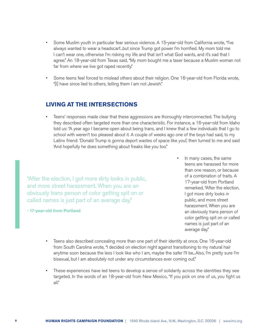- Some Muslim youth in particular fear serious violence. A 15-year-old from California wrote, "I've always wanted to wear a headscarf...but since Trump got power I'm horrified. My mom told me I can't wear one, otherwise I'm risking my life and that isn't what God wants, and it's sad that I agree." An 18-year-old from Texas said, "My mom bought me a taser because a Muslim woman not far from where we live got raped recently."
- Some teens feel forced to mislead others about their religion. One 16-year-old from Florida wrote, "[I] have since lied to others, telling them I am not Jewish."

# **LIVING AT THE INTERSECTIONS**

• Teens' responses made clear that these aggressions are thoroughly interconnected. The bullying they described often targeted more than one characteristic. For instance, a 16-year-old from Idaho told us: "A year ago I became open about being trans, and I knew that a few individuals that I go to school with weren't too pleased about it. A couple of weeks ago one of the boys had said, to my Latinx friend: 'Donald Trump is gonna deport wastes of space like you!', then turned to me and said 'And hopefully he does something about freaks like you too."

"After the election, I got more dirty looks in public, and more street harassment. When you are an obviously trans person of color getting spit on or called names is just part of an average day."

**- 17-year-old from Portland**

- In many cases, the same teens are harassed for more than one reason, or because of a combination of traits. A 17-year-old from Portland remarked, "After the election, I got more dirty looks in public, and more street harassment. When you are an obviously trans person of color getting spit on or called names is just part of an average day."
- Teens also described concealing more than one part of their identity at once. One 16-year-old from South Carolina wrote, "I decided on election night against transitioning to my natural hair anytime soon because the less I look like who I am, maybe the safer I'll be...Also, I'm pretty sure I'm bisexual, but I am absolutely not under any circumstances ever coming out."
- These experiences have led teens to develop a sense of solidarity across the identities they see targeted. In the words of an 18-year-old from New Mexico, "If you pick on one of us, you fight us all."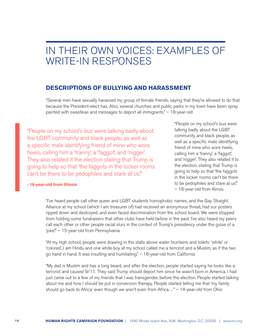# IN THEIR OWN VOICES: EXAMPLES OF WRITE-IN RESPONSES

## **DESCRIPTIONS OF BULLYING AND HARASSMENT**

"Several men have sexually harassed my group of female friends, saying that they're allowed to do that because the President-elect has. Also, several churches and public parks in my town have been spray painted with swastikas and messages to deport all immigrants." – 18-year-old

"People on my school's bus were talking badly about the LGBT community and black people, as well as a specific male identifying friend of mine who wore heels, calling him a 'tranny', a 'faggot', and 'nigger'. They also related it the election stating that Trump is going to help so that 'the faggots in the locker rooms can't be there to be pedophiles and stare at us."

"People on my school's bus were talking badly about the LGBT community and black people, as well as a specific male identifying friend of mine who wore heels, calling him a 'tranny', a 'faggot', and 'nigger'. They also related it to the election, stating that Trump is going to help so that 'the faggots in the locker rooms can't be there to be pedophiles and stare at us." – 18-year-old from Illinois

#### **- 18-year-old from Illinois**

"I've heard people call other queer and LGBT students homophobic names, and the Gay Straight Alliance at my school (which I am treasurer of) had received an anonymous threat, had our posters ripped down and destroyed, and even faced discrimination from the school board. We were stopped from holding some fundraisers that other clubs have held before in the past. I've also heard my peers call each other or other people racial slurs in the context of Trump's presidency under the guise of a 'joke'." – 15-year-old from Pennsylvania

"At my high school, people were drawing in the stalls above water fountains and toilets: 'white' or 'colored'...I am Hindu and one white boy at my school called me a terrorist and a Muslim, as if the two go hand in hand. It was insulting and humiliating." – 16-year-old from California

"My dad is Muslim and has a long beard, and after the election, people started saying he looks like a terrorist and caused 9/11. They said Trump should deport him since he wasn't born in America. I had just came out to a few of my friends that I was transgender, before the election. People started talking about me and how I should be put in conversion therapy. People started telling me that 'my family should go back to Africa' even though we aren't even from Africa…" – 14-year-old from Ohio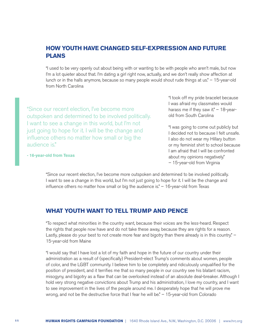# **HOW YOUTH HAVE CHANGED SELF-EXPRESSION AND FUTURE PLANS**

"I used to be very openly out about being with or wanting to be with people who aren't male, but now I'm a lot quieter about that. I'm dating a girl right now, actually, and we don't really show affection at lunch or in the halls anymore, because so many people would shout rude things at us." – 15-year-old from North Carolina

"Since our recent election, I've become more outspoken and determined to be involved politically. I want to see a change in this world, but I'm not just going to hope for it. I will be the change and influence others no matter how small or big the audience is."

"I took off my pride bracelet because I was afraid my classmates would harass me if they saw it."  $-18$ -yearold from South Carolina

"I was going to come out publicly but I decided not to because I felt unsafe. I also do not wear my Hillary button or my feminist shirt to school because I am afraid that I will be confronted about my opinions negatively." – 15-year-old from Virginia

**- 16-year-old from Texas**

"Since our recent election, I've become more outspoken and determined to be involved politically. I want to see a change in this world, but I'm not just going to hope for it. I will be the change and influence others no matter how small or big the audience is." – 16-year-old from Texas

#### **WHAT YOUTH WANT TO TELL TRUMP AND PENCE**

"To respect what minorities in the country want, because their voices are the less-heard. Respect the rights that people now have and do not take these away, because they are rights for a reason. Lastly, please do your best to not create more fear and bigotry than there already is in this country." -15-year-old from Maine

"I would say that I have lost a lot of my faith and hope in the future of our country under their administration as a result of (specifically) President-elect Trump's comments about women, people of color, and the LGBT community. I believe him to be completely and ridiculously unqualified for the position of president, and it terrifies me that so many people in our country see his blatant racism, misogyny, and bigotry as a flaw that can be overlooked instead of an absolute deal-breaker. Although I hold very strong negative convictions about Trump and his administration, I love my country, and I want to see improvement in the lives of the people around me. I desperately hope that he will prove me wrong, and not be the destructive force that I fear he will be." – 15-year-old from Colorado